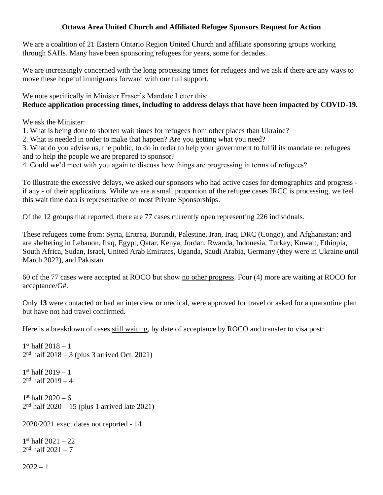## **Ottawa Area United Church and Affiliated Refugee Sponsors Request for Action**

We are a coalition of 21 Eastern Ontario Region United Church and affiliate sponsoring groups working through SAHs. Many have been sponsoring refugees for years, some for decades.

We are increasingly concerned with the long processing times for refugees and we ask if there are any ways to move these hopeful immigrants forward with our full support.

We note specifically in Minister Fraser's Mandate Letter this: **Reduce application processing times, including to address delays that have been impacted by COVID-19.**

We ask the Minister:

1. What is being done to shorten wait times for refugees from other places than Ukraine?

2. What is needed in order to make that happen? Are you getting what you need?

3. What do you advise us, the public, to do in order to help your government to fulfil its mandate re: refugees and to help the people we are prepared to sponsor?

4. Could we'd meet with you again to discuss how things are progressing in terms of refugees?

To illustrate the excessive delays, we asked our sponsors who had active cases for demographics and progress if any - of their applications. While we are a small proportion of the refugee cases IRCC is processing, we feel this wait time data is representative of most Private Sponsorships.

Of the 12 groups that reported, there are 77 cases currently open representing 226 individuals.

These refugees come from: Syria, Eritrea, Burundi, Palestine, Iran, Iraq, DRC (Congo), and Afghanistan; and are sheltering in Lebanon, Iraq, Egypt, Qatar, Kenya, Jordan, Rwanda, Indonesia, Turkey, Kuwait, Ethiopia, South Africa, Sudan, Israel, United Arab Emirates, Uganda, Saudi Arabia, Germany (they were in Ukraine until March 2022), and Pakistan.

60 of the 77 cases were accepted at ROCO but show no other progress. Four (4) more are waiting at ROCO for acceptance/G#.

Only **13** were contacted or had an interview or medical, were approved for travel or asked for a quarantine plan but have not had travel confirmed.

Here is a breakdown of cases still waiting, by date of acceptance by ROCO and transfer to visa post:

```
1<sup>st</sup> half 2018 - 12
nd half 2018 – 3 (plus 3 arrived Oct. 2021)
1
st half 2019 – 1
2
nd half 2019 – 4
1
st half 2020 – 6
2
nd half 2020 – 15 (plus 1 arrived late 2021)
2020/2021 exact dates not reported - 14
1
st half 2021 – 22
2<sup>nd</sup> half 2021 - 7
```